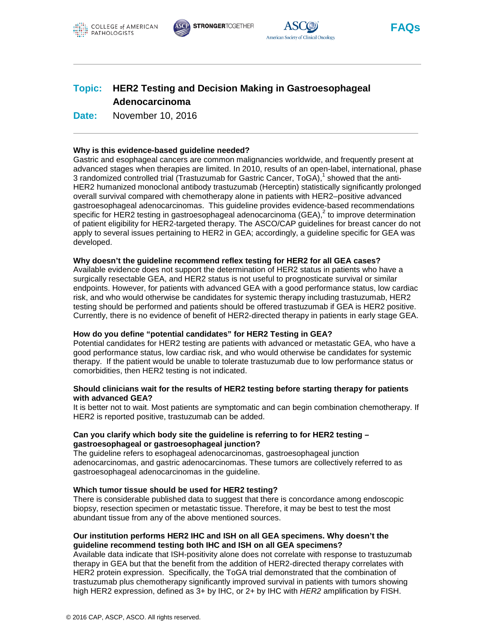





**FAQs**

# **Topic: HER2 Testing and Decision Making in Gastroesophageal Adenocarcinoma**

**Date:** November 10, 2016

## **Why is this evidence-based guideline needed?**

Gastric and esophageal cancers are common malignancies worldwide, and frequently present at advanced stages when therapies are limited. In 2010, results of an open-label, international, phase 3 randomized controlled trial (Trastuzumab for Gastric Cancer, ToGA),<sup>1</sup> showed that the anti-HER2 humanized monoclonal antibody trastuzumab (Herceptin) statistically significantly prolonged overall survival compared with chemotherapy alone in patients with HER2–positive advanced gastroesophageal adenocarcinomas. This guideline provides evidence-based recommendations specific for HER2 testing in gastroesophageal adenocarcinoma (GEA), $^2$  to improve determination of patient eligibility for HER2-targeted therapy. The ASCO/CAP guidelines for breast cancer do not apply to several issues pertaining to HER2 in GEA; accordingly, a guideline specific for GEA was developed.

#### **Why doesn't the guideline recommend reflex testing for HER2 for all GEA cases?**

Available evidence does not support the determination of HER2 status in patients who have a surgically resectable GEA, and HER2 status is not useful to prognosticate survival or similar endpoints. However, for patients with advanced GEA with a good performance status, low cardiac risk, and who would otherwise be candidates for systemic therapy including trastuzumab, HER2 testing should be performed and patients should be offered trastuzumab if GEA is HER2 positive. Currently, there is no evidence of benefit of HER2-directed therapy in patients in early stage GEA.

#### **How do you define "potential candidates" for HER2 Testing in GEA?**

Potential candidates for HER2 testing are patients with advanced or metastatic GEA, who have a good performance status, low cardiac risk, and who would otherwise be candidates for systemic therapy. If the patient would be unable to tolerate trastuzumab due to low performance status or comorbidities, then HER2 testing is not indicated.

#### **Should clinicians wait for the results of HER2 testing before starting therapy for patients with advanced GEA?**

It is better not to wait. Most patients are symptomatic and can begin combination chemotherapy. If HER2 is reported positive, trastuzumab can be added.

## **Can you clarify which body site the guideline is referring to for HER2 testing – gastroesophageal or gastroesophageal junction?**

The guideline refers to esophageal adenocarcinomas, gastroesophageal junction adenocarcinomas, and gastric adenocarcinomas. These tumors are collectively referred to as gastroesophageal adenocarcinomas in the guideline.

#### **Which tumor tissue should be used for HER2 testing?**

There is considerable published data to suggest that there is concordance among endoscopic biopsy, resection specimen or metastatic tissue. Therefore, it may be best to test the most abundant tissue from any of the above mentioned sources.

## **Our institution performs HER2 IHC and ISH on all GEA specimens. Why doesn't the guideline recommend testing both IHC and ISH on all GEA specimens?**

Available data indicate that ISH-positivity alone does not correlate with response to trastuzumab therapy in GEA but that the benefit from the addition of HER2-directed therapy correlates with HER2 protein expression. Specifically, the ToGA trial demonstrated that the combination of trastuzumab plus chemotherapy significantly improved survival in patients with tumors showing high HER2 expression, defined as 3+ by IHC, or 2+ by IHC with *HER2* amplification by FISH.